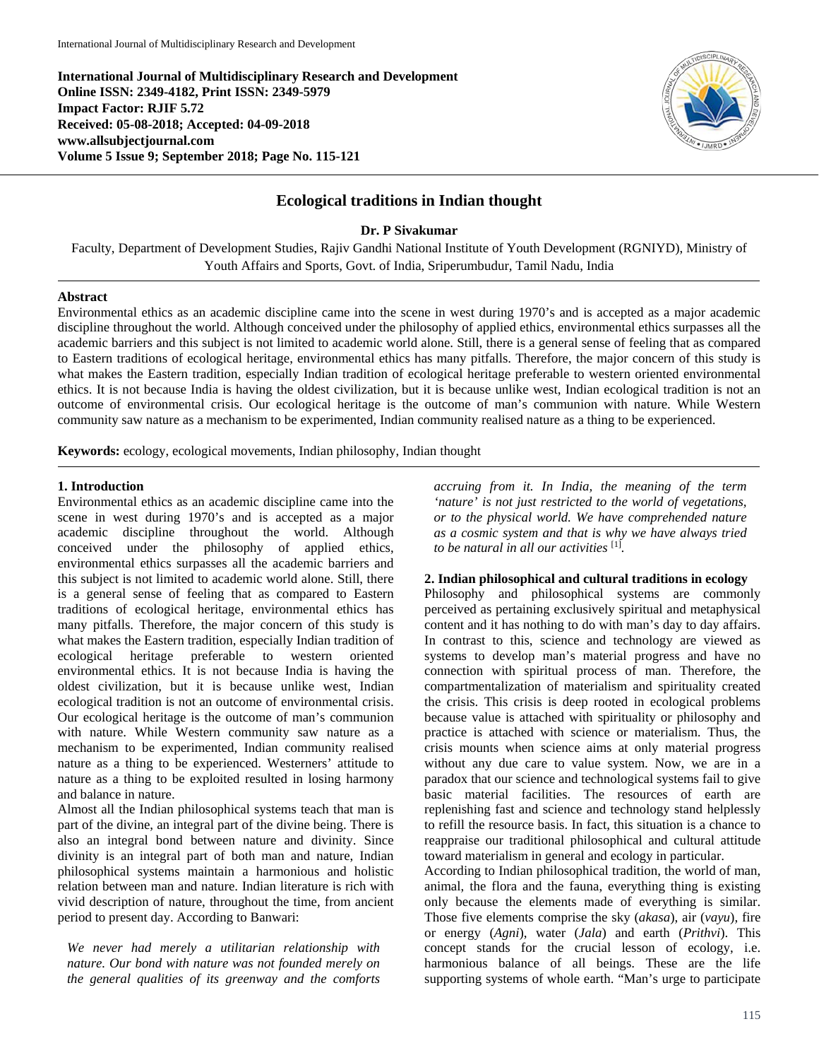**International Journal of Multidisciplinary Research and Development Online ISSN: 2349-4182, Print ISSN: 2349-5979 Impact Factor: RJIF 5.72 Received: 05-08-2018; Accepted: 04-09-2018 www.allsubjectjournal.com Volume 5 Issue 9; September 2018; Page No. 115-121**



# **Ecological traditions in Indian thought**

**Dr. P Sivakumar**

Faculty, Department of Development Studies, Rajiv Gandhi National Institute of Youth Development (RGNIYD), Ministry of Youth Affairs and Sports, Govt. of India, Sriperumbudur, Tamil Nadu, India

#### **Abstract**

Environmental ethics as an academic discipline came into the scene in west during 1970's and is accepted as a major academic discipline throughout the world. Although conceived under the philosophy of applied ethics, environmental ethics surpasses all the academic barriers and this subject is not limited to academic world alone. Still, there is a general sense of feeling that as compared to Eastern traditions of ecological heritage, environmental ethics has many pitfalls. Therefore, the major concern of this study is what makes the Eastern tradition, especially Indian tradition of ecological heritage preferable to western oriented environmental ethics. It is not because India is having the oldest civilization, but it is because unlike west, Indian ecological tradition is not an outcome of environmental crisis. Our ecological heritage is the outcome of man's communion with nature. While Western community saw nature as a mechanism to be experimented, Indian community realised nature as a thing to be experienced.

**Keywords:** ecology, ecological movements, Indian philosophy, Indian thought

### **1. Introduction**

Environmental ethics as an academic discipline came into the scene in west during 1970's and is accepted as a major academic discipline throughout the world. Although conceived under the philosophy of applied ethics, environmental ethics surpasses all the academic barriers and this subject is not limited to academic world alone. Still, there is a general sense of feeling that as compared to Eastern traditions of ecological heritage, environmental ethics has many pitfalls. Therefore, the major concern of this study is what makes the Eastern tradition, especially Indian tradition of ecological heritage preferable to western oriented environmental ethics. It is not because India is having the oldest civilization, but it is because unlike west, Indian ecological tradition is not an outcome of environmental crisis. Our ecological heritage is the outcome of man's communion with nature. While Western community saw nature as a mechanism to be experimented, Indian community realised nature as a thing to be experienced. Westerners' attitude to nature as a thing to be exploited resulted in losing harmony and balance in nature.

Almost all the Indian philosophical systems teach that man is part of the divine, an integral part of the divine being. There is also an integral bond between nature and divinity. Since divinity is an integral part of both man and nature, Indian philosophical systems maintain a harmonious and holistic relation between man and nature. Indian literature is rich with vivid description of nature, throughout the time, from ancient period to present day. According to Banwari:

*We never had merely a utilitarian relationship with nature. Our bond with nature was not founded merely on the general qualities of its greenway and the comforts*  *accruing from it. In India, the meaning of the term 'nature' is not just restricted to the world of vegetations, or to the physical world. We have comprehended nature as a cosmic system and that is why we have always tried to be natural in all our activities* [1]*.* 

### **2. Indian philosophical and cultural traditions in ecology**

Philosophy and philosophical systems are commonly perceived as pertaining exclusively spiritual and metaphysical content and it has nothing to do with man's day to day affairs. In contrast to this, science and technology are viewed as systems to develop man's material progress and have no connection with spiritual process of man. Therefore, the compartmentalization of materialism and spirituality created the crisis. This crisis is deep rooted in ecological problems because value is attached with spirituality or philosophy and practice is attached with science or materialism. Thus, the crisis mounts when science aims at only material progress without any due care to value system. Now, we are in a paradox that our science and technological systems fail to give basic material facilities. The resources of earth are replenishing fast and science and technology stand helplessly to refill the resource basis. In fact, this situation is a chance to reappraise our traditional philosophical and cultural attitude toward materialism in general and ecology in particular.

According to Indian philosophical tradition, the world of man, animal, the flora and the fauna, everything thing is existing only because the elements made of everything is similar. Those five elements comprise the sky (*akasa*), air (*vayu*), fire or energy (*Agni*), water (*Jala*) and earth (*Prithvi*). This concept stands for the crucial lesson of ecology, i.e. harmonious balance of all beings. These are the life supporting systems of whole earth. "Man's urge to participate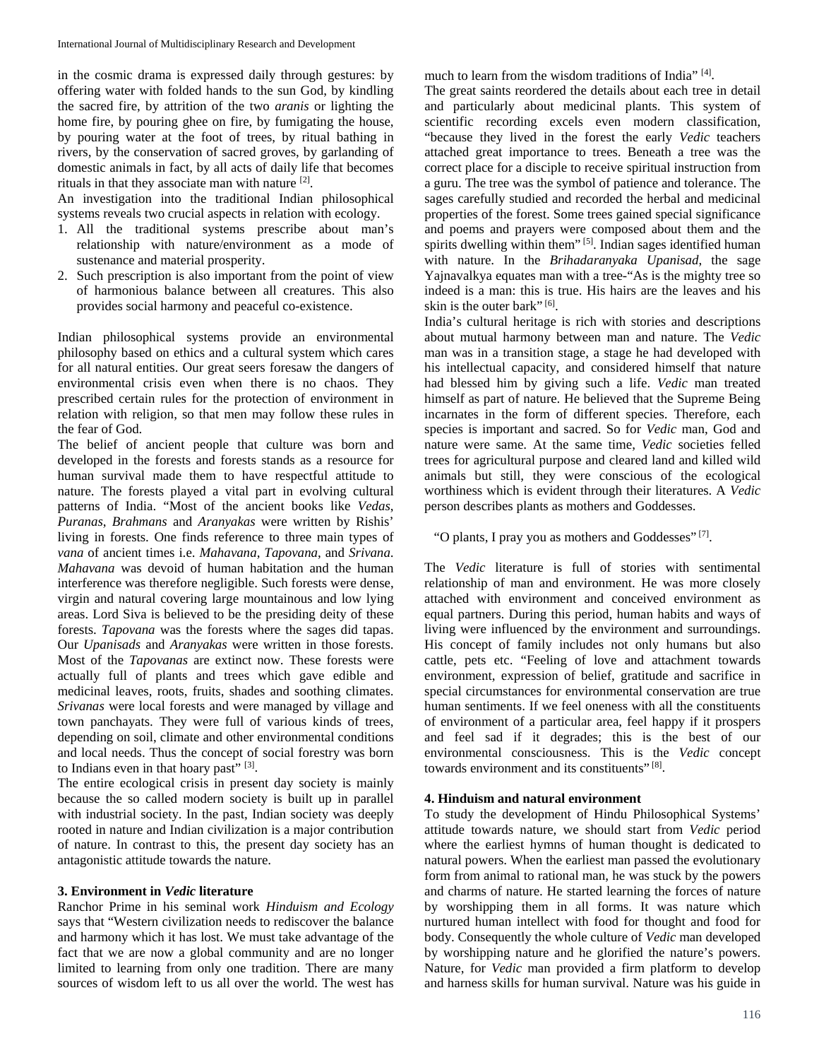in the cosmic drama is expressed daily through gestures: by offering water with folded hands to the sun God, by kindling the sacred fire, by attrition of the two *aranis* or lighting the home fire, by pouring ghee on fire, by fumigating the house, by pouring water at the foot of trees, by ritual bathing in rivers, by the conservation of sacred groves, by garlanding of domestic animals in fact, by all acts of daily life that becomes rituals in that they associate man with nature [2].

An investigation into the traditional Indian philosophical systems reveals two crucial aspects in relation with ecology.

- 1. All the traditional systems prescribe about man's relationship with nature/environment as a mode of sustenance and material prosperity.
- 2. Such prescription is also important from the point of view of harmonious balance between all creatures. This also provides social harmony and peaceful co-existence.

Indian philosophical systems provide an environmental philosophy based on ethics and a cultural system which cares for all natural entities. Our great seers foresaw the dangers of environmental crisis even when there is no chaos. They prescribed certain rules for the protection of environment in relation with religion, so that men may follow these rules in the fear of God.

The belief of ancient people that culture was born and developed in the forests and forests stands as a resource for human survival made them to have respectful attitude to nature. The forests played a vital part in evolving cultural patterns of India. "Most of the ancient books like *Vedas*, *Puranas*, *Brahmans* and *Aranyakas* were written by Rishis' living in forests. One finds reference to three main types of *vana* of ancient times i.e. *Mahavana*, *Tapovana*, and *Srivana*. *Mahavana* was devoid of human habitation and the human interference was therefore negligible. Such forests were dense, virgin and natural covering large mountainous and low lying areas. Lord Siva is believed to be the presiding deity of these forests. *Tapovana* was the forests where the sages did tapas. Our *Upanisads* and *Aranyakas* were written in those forests. Most of the *Tapovanas* are extinct now. These forests were actually full of plants and trees which gave edible and medicinal leaves, roots, fruits, shades and soothing climates. *Srivanas* were local forests and were managed by village and town panchayats. They were full of various kinds of trees, depending on soil, climate and other environmental conditions and local needs. Thus the concept of social forestry was born to Indians even in that hoary past" [3].

The entire ecological crisis in present day society is mainly because the so called modern society is built up in parallel with industrial society. In the past, Indian society was deeply rooted in nature and Indian civilization is a major contribution of nature. In contrast to this, the present day society has an antagonistic attitude towards the nature.

## **3. Environment in** *Vedic* **literature**

Ranchor Prime in his seminal work *Hinduism and Ecology* says that "Western civilization needs to rediscover the balance and harmony which it has lost. We must take advantage of the fact that we are now a global community and are no longer limited to learning from only one tradition. There are many sources of wisdom left to us all over the world. The west has much to learn from the wisdom traditions of India" [4].

The great saints reordered the details about each tree in detail and particularly about medicinal plants. This system of scientific recording excels even modern classification, "because they lived in the forest the early *Vedic* teachers attached great importance to trees. Beneath a tree was the correct place for a disciple to receive spiritual instruction from a guru. The tree was the symbol of patience and tolerance. The sages carefully studied and recorded the herbal and medicinal properties of the forest. Some trees gained special significance and poems and prayers were composed about them and the spirits dwelling within them" [5]. Indian sages identified human with nature. In the *Brihadaranyaka Upanisad*, the sage Yajnavalkya equates man with a tree-"As is the mighty tree so indeed is a man: this is true. His hairs are the leaves and his skin is the outer bark" [6].

India's cultural heritage is rich with stories and descriptions about mutual harmony between man and nature. The *Vedic* man was in a transition stage, a stage he had developed with his intellectual capacity, and considered himself that nature had blessed him by giving such a life. *Vedic* man treated himself as part of nature. He believed that the Supreme Being incarnates in the form of different species. Therefore, each species is important and sacred. So for *Vedic* man, God and nature were same. At the same time, *Vedic* societies felled trees for agricultural purpose and cleared land and killed wild animals but still, they were conscious of the ecological worthiness which is evident through their literatures. A *Vedic* person describes plants as mothers and Goddesses.

"O plants, I pray you as mothers and Goddesses" [7].

The *Vedic* literature is full of stories with sentimental relationship of man and environment. He was more closely attached with environment and conceived environment as equal partners. During this period, human habits and ways of living were influenced by the environment and surroundings. His concept of family includes not only humans but also cattle, pets etc. "Feeling of love and attachment towards environment, expression of belief, gratitude and sacrifice in special circumstances for environmental conservation are true human sentiments. If we feel oneness with all the constituents of environment of a particular area, feel happy if it prospers and feel sad if it degrades; this is the best of our environmental consciousness. This is the *Vedic* concept towards environment and its constituents" [8].

### **4. Hinduism and natural environment**

To study the development of Hindu Philosophical Systems' attitude towards nature, we should start from *Vedic* period where the earliest hymns of human thought is dedicated to natural powers. When the earliest man passed the evolutionary form from animal to rational man, he was stuck by the powers and charms of nature. He started learning the forces of nature by worshipping them in all forms. It was nature which nurtured human intellect with food for thought and food for body. Consequently the whole culture of *Vedic* man developed by worshipping nature and he glorified the nature's powers. Nature, for *Vedic* man provided a firm platform to develop and harness skills for human survival. Nature was his guide in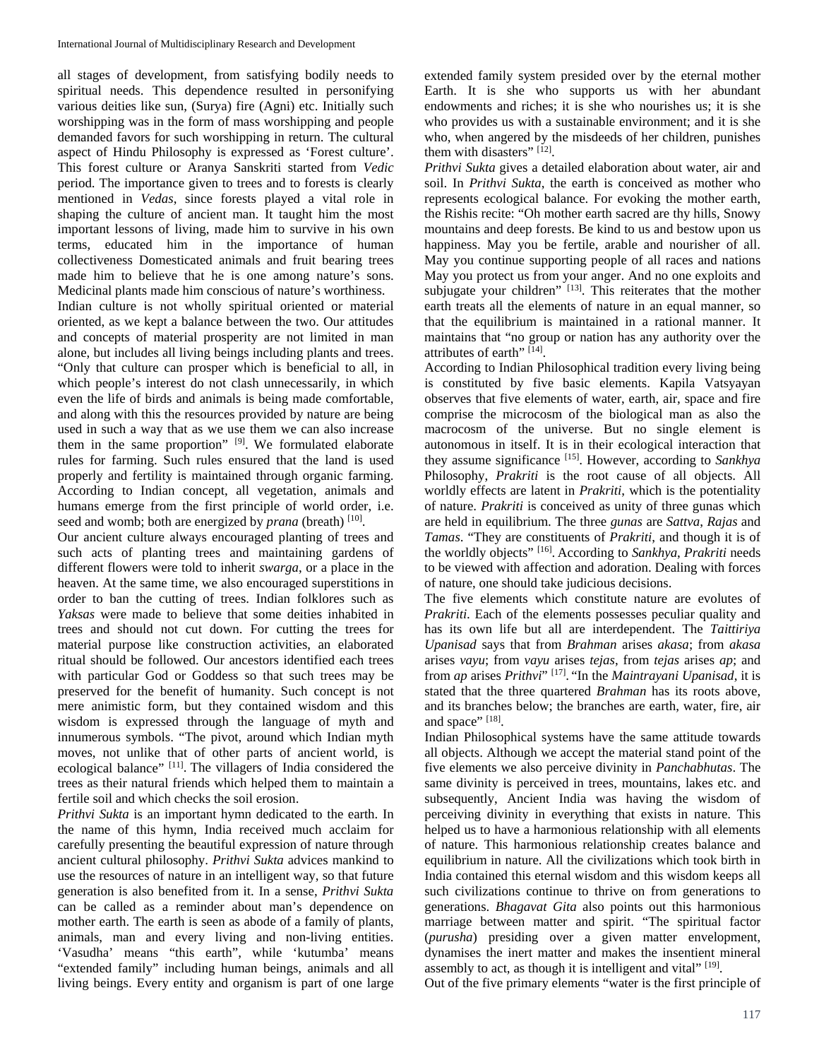all stages of development, from satisfying bodily needs to spiritual needs. This dependence resulted in personifying various deities like sun, (Surya) fire (Agni) etc. Initially such worshipping was in the form of mass worshipping and people demanded favors for such worshipping in return. The cultural aspect of Hindu Philosophy is expressed as 'Forest culture'. This forest culture or Aranya Sanskriti started from *Vedic* period. The importance given to trees and to forests is clearly mentioned in *Vedas*, since forests played a vital role in shaping the culture of ancient man. It taught him the most important lessons of living, made him to survive in his own terms, educated him in the importance of human collectiveness Domesticated animals and fruit bearing trees made him to believe that he is one among nature's sons. Medicinal plants made him conscious of nature's worthiness.

Indian culture is not wholly spiritual oriented or material oriented, as we kept a balance between the two. Our attitudes and concepts of material prosperity are not limited in man alone, but includes all living beings including plants and trees. "Only that culture can prosper which is beneficial to all, in which people's interest do not clash unnecessarily, in which even the life of birds and animals is being made comfortable, and along with this the resources provided by nature are being used in such a way that as we use them we can also increase them in the same proportion" [9]. We formulated elaborate rules for farming. Such rules ensured that the land is used properly and fertility is maintained through organic farming. According to Indian concept, all vegetation, animals and humans emerge from the first principle of world order, i.e. seed and womb; both are energized by *prana* (breath) [10].

Our ancient culture always encouraged planting of trees and such acts of planting trees and maintaining gardens of different flowers were told to inherit *swarga*, or a place in the heaven. At the same time, we also encouraged superstitions in order to ban the cutting of trees. Indian folklores such as *Yaksas* were made to believe that some deities inhabited in trees and should not cut down. For cutting the trees for material purpose like construction activities, an elaborated ritual should be followed. Our ancestors identified each trees with particular God or Goddess so that such trees may be preserved for the benefit of humanity. Such concept is not mere animistic form, but they contained wisdom and this wisdom is expressed through the language of myth and innumerous symbols. "The pivot, around which Indian myth moves, not unlike that of other parts of ancient world, is ecological balance" [11]. The villagers of India considered the trees as their natural friends which helped them to maintain a fertile soil and which checks the soil erosion.

*Prithvi Sukta* is an important hymn dedicated to the earth. In the name of this hymn, India received much acclaim for carefully presenting the beautiful expression of nature through ancient cultural philosophy. *Prithvi Sukta* advices mankind to use the resources of nature in an intelligent way, so that future generation is also benefited from it. In a sense, *Prithvi Sukta* can be called as a reminder about man's dependence on mother earth. The earth is seen as abode of a family of plants, animals, man and every living and non-living entities. 'Vasudha' means "this earth", while 'kutumba' means "extended family" including human beings, animals and all living beings. Every entity and organism is part of one large

extended family system presided over by the eternal mother Earth. It is she who supports us with her abundant endowments and riches; it is she who nourishes us; it is she who provides us with a sustainable environment; and it is she who, when angered by the misdeeds of her children, punishes them with disasters" [12].

*Prithvi Sukta* gives a detailed elaboration about water, air and soil. In *Prithvi Sukta*, the earth is conceived as mother who represents ecological balance. For evoking the mother earth, the Rishis recite: "Oh mother earth sacred are thy hills, Snowy mountains and deep forests. Be kind to us and bestow upon us happiness. May you be fertile, arable and nourisher of all. May you continue supporting people of all races and nations May you protect us from your anger. And no one exploits and subjugate your children" [13]. This reiterates that the mother earth treats all the elements of nature in an equal manner, so that the equilibrium is maintained in a rational manner. It maintains that "no group or nation has any authority over the attributes of earth" [14].

According to Indian Philosophical tradition every living being is constituted by five basic elements. Kapila Vatsyayan observes that five elements of water, earth, air, space and fire comprise the microcosm of the biological man as also the macrocosm of the universe. But no single element is autonomous in itself. It is in their ecological interaction that they assume significance [15]. However, according to *Sankhya* Philosophy, *Prakriti* is the root cause of all objects. All worldly effects are latent in *Prakriti*, which is the potentiality of nature. *Prakriti* is conceived as unity of three gunas which are held in equilibrium. The three *gunas* are *Sattva*, *Rajas* and *Tamas*. "They are constituents of *Prakriti*, and though it is of the worldly objects" [16]. According to *Sankhya*, *Prakriti* needs to be viewed with affection and adoration. Dealing with forces of nature, one should take judicious decisions.

The five elements which constitute nature are evolutes of *Prakriti*. Each of the elements possesses peculiar quality and has its own life but all are interdependent. The *Taittiriya Upanisad* says that from *Brahman* arises *akasa*; from *akasa* arises *vayu*; from *vayu* arises *tejas*, from *tejas* arises *ap*; and from *ap* arises *Prithvi*" [17]. "In the *Maintrayani Upanisad*, it is stated that the three quartered *Brahman* has its roots above, and its branches below; the branches are earth, water, fire, air and space" [18].

Indian Philosophical systems have the same attitude towards all objects. Although we accept the material stand point of the five elements we also perceive divinity in *Panchabhutas*. The same divinity is perceived in trees, mountains, lakes etc. and subsequently, Ancient India was having the wisdom of perceiving divinity in everything that exists in nature. This helped us to have a harmonious relationship with all elements of nature. This harmonious relationship creates balance and equilibrium in nature. All the civilizations which took birth in India contained this eternal wisdom and this wisdom keeps all such civilizations continue to thrive on from generations to generations. *Bhagavat Gita* also points out this harmonious marriage between matter and spirit. "The spiritual factor (*purusha*) presiding over a given matter envelopment, dynamises the inert matter and makes the insentient mineral assembly to act, as though it is intelligent and vital" [19].

Out of the five primary elements "water is the first principle of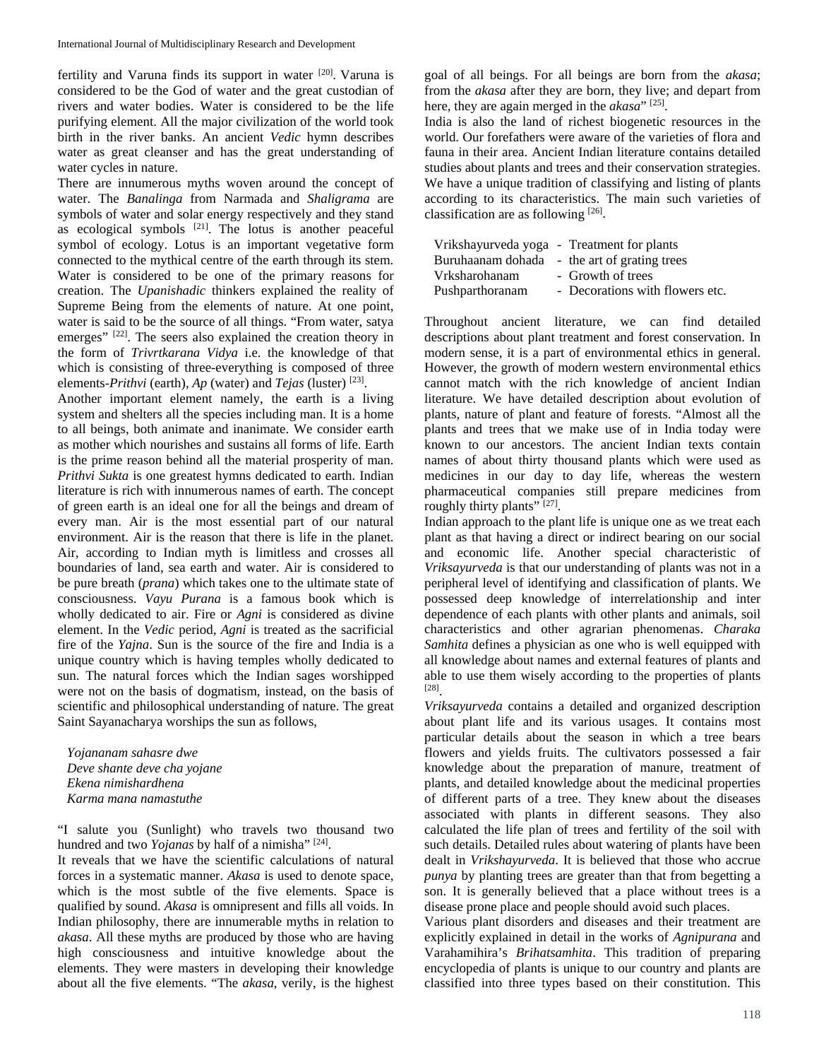fertility and Varuna finds its support in water [20]. Varuna is considered to be the God of water and the great custodian of rivers and water bodies. Water is considered to be the life purifying element. All the major civilization of the world took birth in the river banks. An ancient *Vedic* hymn describes water as great cleanser and has the great understanding of water cycles in nature.

There are innumerous myths woven around the concept of water. The *Banalinga* from Narmada and *Shaligrama* are symbols of water and solar energy respectively and they stand as ecological symbols  $[21]$ . The lotus is another peaceful symbol of ecology. Lotus is an important vegetative form connected to the mythical centre of the earth through its stem. Water is considered to be one of the primary reasons for creation. The *Upanishadic* thinkers explained the reality of Supreme Being from the elements of nature. At one point, water is said to be the source of all things. "From water, satya emerges" <sup>[22]</sup>. The seers also explained the creation theory in the form of *Trivrtkarana Vidya* i.e. the knowledge of that which is consisting of three-everything is composed of three elements-*Prithvi* (earth), *Ap* (water) and *Tejas* (luster) [23].

Another important element namely, the earth is a living system and shelters all the species including man. It is a home to all beings, both animate and inanimate. We consider earth as mother which nourishes and sustains all forms of life. Earth is the prime reason behind all the material prosperity of man. *Prithvi Sukta* is one greatest hymns dedicated to earth. Indian literature is rich with innumerous names of earth. The concept of green earth is an ideal one for all the beings and dream of every man. Air is the most essential part of our natural environment. Air is the reason that there is life in the planet. Air, according to Indian myth is limitless and crosses all boundaries of land, sea earth and water. Air is considered to be pure breath (*prana*) which takes one to the ultimate state of consciousness. *Vayu Purana* is a famous book which is wholly dedicated to air. Fire or *Agni* is considered as divine element. In the *Vedic* period, *Agni* is treated as the sacrificial fire of the *Yajna*. Sun is the source of the fire and India is a unique country which is having temples wholly dedicated to sun. The natural forces which the Indian sages worshipped were not on the basis of dogmatism, instead, on the basis of scientific and philosophical understanding of nature. The great Saint Sayanacharya worships the sun as follows,

*Yojananam sahasre dwe Deve shante deve cha yojane Ekena nimishardhena Karma mana namastuthe*

"I salute you (Sunlight) who travels two thousand two hundred and two *Yojanas* by half of a nimisha" <sup>[24]</sup>.

It reveals that we have the scientific calculations of natural forces in a systematic manner. *Akasa* is used to denote space, which is the most subtle of the five elements. Space is qualified by sound. *Akasa* is omnipresent and fills all voids. In Indian philosophy, there are innumerable myths in relation to *akasa*. All these myths are produced by those who are having high consciousness and intuitive knowledge about the elements. They were masters in developing their knowledge about all the five elements. "The *akasa*, verily, is the highest

goal of all beings. For all beings are born from the *akasa*; from the *akasa* after they are born, they live; and depart from here, they are again merged in the *akasa*" [25].

India is also the land of richest biogenetic resources in the world. Our forefathers were aware of the varieties of flora and fauna in their area. Ancient Indian literature contains detailed studies about plants and trees and their conservation strategies. We have a unique tradition of classifying and listing of plants according to its characteristics. The main such varieties of classification are as following  $[26]$ .

| Vrikshayurveda yoga - Treatment for plants   |
|----------------------------------------------|
| Buruhaanam dohada - the art of grating trees |
| - Growth of trees                            |
| - Decorations with flowers etc.              |
|                                              |

Throughout ancient literature, we can find detailed descriptions about plant treatment and forest conservation. In modern sense, it is a part of environmental ethics in general. However, the growth of modern western environmental ethics cannot match with the rich knowledge of ancient Indian literature. We have detailed description about evolution of plants, nature of plant and feature of forests. "Almost all the plants and trees that we make use of in India today were known to our ancestors. The ancient Indian texts contain names of about thirty thousand plants which were used as medicines in our day to day life, whereas the western pharmaceutical companies still prepare medicines from roughly thirty plants" [27].

Indian approach to the plant life is unique one as we treat each plant as that having a direct or indirect bearing on our social and economic life. Another special characteristic of *Vriksayurveda* is that our understanding of plants was not in a peripheral level of identifying and classification of plants. We possessed deep knowledge of interrelationship and inter dependence of each plants with other plants and animals, soil characteristics and other agrarian phenomenas. *Charaka Samhita* defines a physician as one who is well equipped with all knowledge about names and external features of plants and able to use them wisely according to the properties of plants [28].

*Vriksayurveda* contains a detailed and organized description about plant life and its various usages. It contains most particular details about the season in which a tree bears flowers and yields fruits. The cultivators possessed a fair knowledge about the preparation of manure, treatment of plants, and detailed knowledge about the medicinal properties of different parts of a tree. They knew about the diseases associated with plants in different seasons. They also calculated the life plan of trees and fertility of the soil with such details. Detailed rules about watering of plants have been dealt in *Vrikshayurveda*. It is believed that those who accrue *punya* by planting trees are greater than that from begetting a son. It is generally believed that a place without trees is a disease prone place and people should avoid such places.

Various plant disorders and diseases and their treatment are explicitly explained in detail in the works of *Agnipurana* and Varahamihira's *Brihatsamhita*. This tradition of preparing encyclopedia of plants is unique to our country and plants are classified into three types based on their constitution. This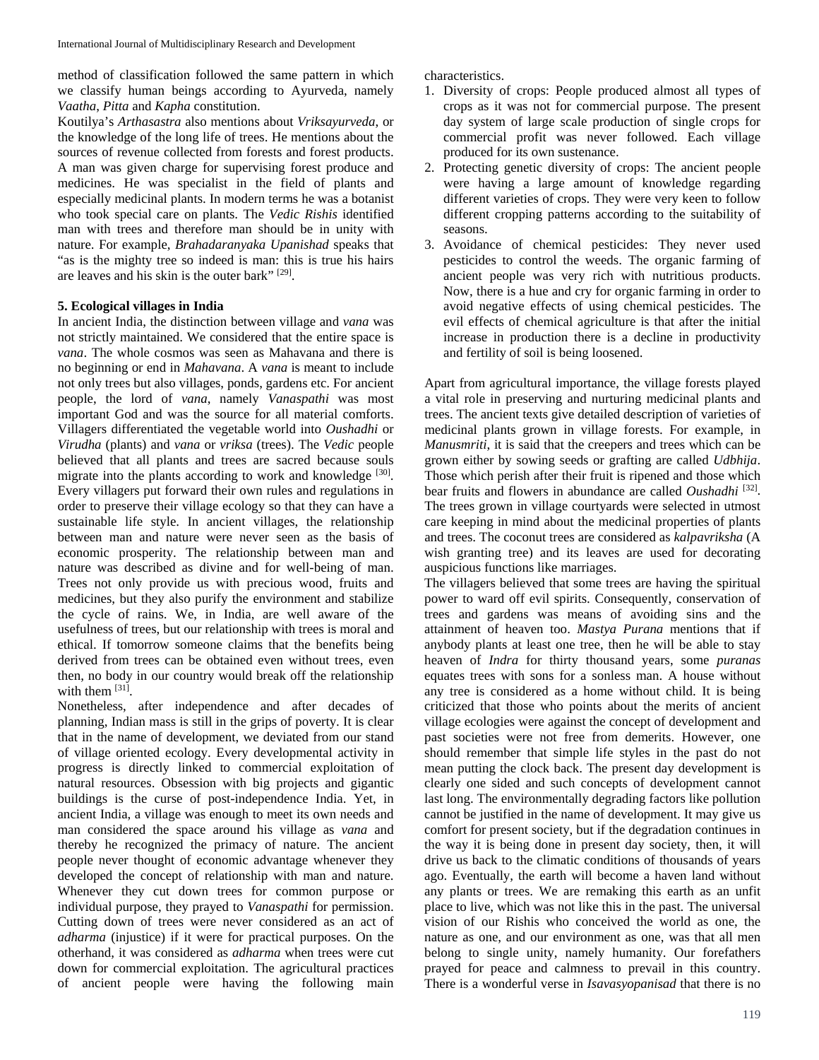method of classification followed the same pattern in which we classify human beings according to Ayurveda, namely *Vaatha*, *Pitta* and *Kapha* constitution.

Koutilya's *Arthasastra* also mentions about *Vriksayurveda*, or the knowledge of the long life of trees. He mentions about the sources of revenue collected from forests and forest products. A man was given charge for supervising forest produce and medicines. He was specialist in the field of plants and especially medicinal plants. In modern terms he was a botanist who took special care on plants. The *Vedic Rishis* identified man with trees and therefore man should be in unity with nature. For example, *Brahadaranyaka Upanishad* speaks that "as is the mighty tree so indeed is man: this is true his hairs are leaves and his skin is the outer bark" [29].

### **5. Ecological villages in India**

In ancient India, the distinction between village and *vana* was not strictly maintained. We considered that the entire space is *vana*. The whole cosmos was seen as Mahavana and there is no beginning or end in *Mahavana*. A *vana* is meant to include not only trees but also villages, ponds, gardens etc. For ancient people, the lord of *vana*, namely *Vanaspathi* was most important God and was the source for all material comforts. Villagers differentiated the vegetable world into *Oushadhi* or *Virudha* (plants) and *vana* or *vriksa* (trees). The *Vedic* people believed that all plants and trees are sacred because souls migrate into the plants according to work and knowledge [30]. Every villagers put forward their own rules and regulations in order to preserve their village ecology so that they can have a sustainable life style. In ancient villages, the relationship between man and nature were never seen as the basis of economic prosperity. The relationship between man and nature was described as divine and for well-being of man. Trees not only provide us with precious wood, fruits and medicines, but they also purify the environment and stabilize the cycle of rains. We, in India, are well aware of the usefulness of trees, but our relationship with trees is moral and ethical. If tomorrow someone claims that the benefits being derived from trees can be obtained even without trees, even then, no body in our country would break off the relationship with them  $[31]$ .

Nonetheless, after independence and after decades of planning, Indian mass is still in the grips of poverty. It is clear that in the name of development, we deviated from our stand of village oriented ecology. Every developmental activity in progress is directly linked to commercial exploitation of natural resources. Obsession with big projects and gigantic buildings is the curse of post-independence India. Yet, in ancient India, a village was enough to meet its own needs and man considered the space around his village as *vana* and thereby he recognized the primacy of nature. The ancient people never thought of economic advantage whenever they developed the concept of relationship with man and nature. Whenever they cut down trees for common purpose or individual purpose, they prayed to *Vanaspathi* for permission. Cutting down of trees were never considered as an act of *adharma* (injustice) if it were for practical purposes. On the otherhand, it was considered as *adharma* when trees were cut down for commercial exploitation. The agricultural practices of ancient people were having the following main characteristics.

- 1. Diversity of crops: People produced almost all types of crops as it was not for commercial purpose. The present day system of large scale production of single crops for commercial profit was never followed. Each village produced for its own sustenance.
- 2. Protecting genetic diversity of crops: The ancient people were having a large amount of knowledge regarding different varieties of crops. They were very keen to follow different cropping patterns according to the suitability of seasons.
- 3. Avoidance of chemical pesticides: They never used pesticides to control the weeds. The organic farming of ancient people was very rich with nutritious products. Now, there is a hue and cry for organic farming in order to avoid negative effects of using chemical pesticides. The evil effects of chemical agriculture is that after the initial increase in production there is a decline in productivity and fertility of soil is being loosened.

Apart from agricultural importance, the village forests played a vital role in preserving and nurturing medicinal plants and trees. The ancient texts give detailed description of varieties of medicinal plants grown in village forests. For example, in *Manusmriti*, it is said that the creepers and trees which can be grown either by sowing seeds or grafting are called *Udbhija*. Those which perish after their fruit is ripened and those which bear fruits and flowers in abundance are called *Oushadhi* [32]. The trees grown in village courtyards were selected in utmost care keeping in mind about the medicinal properties of plants and trees. The coconut trees are considered as *kalpavriksha* (A wish granting tree) and its leaves are used for decorating auspicious functions like marriages.

The villagers believed that some trees are having the spiritual power to ward off evil spirits. Consequently, conservation of trees and gardens was means of avoiding sins and the attainment of heaven too. *Mastya Purana* mentions that if anybody plants at least one tree, then he will be able to stay heaven of *Indra* for thirty thousand years, some *puranas* equates trees with sons for a sonless man. A house without any tree is considered as a home without child. It is being criticized that those who points about the merits of ancient village ecologies were against the concept of development and past societies were not free from demerits. However, one should remember that simple life styles in the past do not mean putting the clock back. The present day development is clearly one sided and such concepts of development cannot last long. The environmentally degrading factors like pollution cannot be justified in the name of development. It may give us comfort for present society, but if the degradation continues in the way it is being done in present day society, then, it will drive us back to the climatic conditions of thousands of years ago. Eventually, the earth will become a haven land without any plants or trees. We are remaking this earth as an unfit place to live, which was not like this in the past. The universal vision of our Rishis who conceived the world as one, the nature as one, and our environment as one, was that all men belong to single unity, namely humanity. Our forefathers prayed for peace and calmness to prevail in this country. There is a wonderful verse in *Isavasyopanisad* that there is no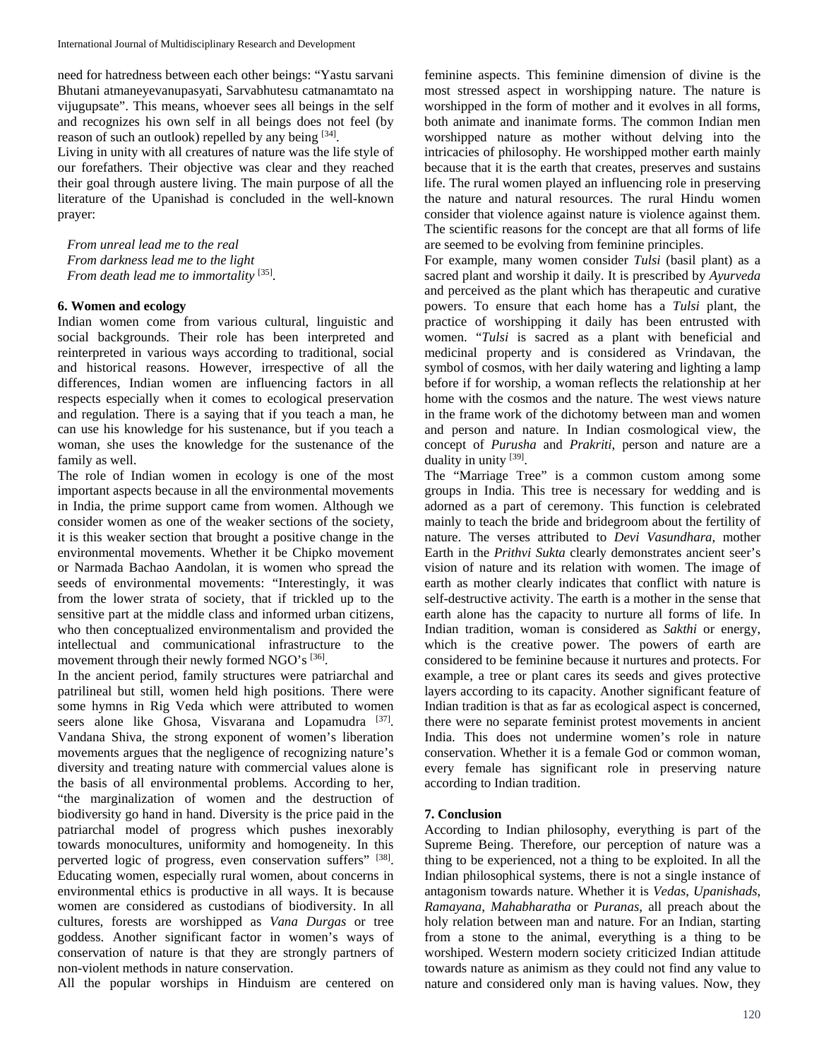need for hatredness between each other beings: "Yastu sarvani Bhutani atmaneyevanupasyati, Sarvabhutesu catmanamtato na vijugupsate". This means, whoever sees all beings in the self and recognizes his own self in all beings does not feel (by reason of such an outlook) repelled by any being  $[34]$ .

Living in unity with all creatures of nature was the life style of our forefathers. Their objective was clear and they reached their goal through austere living. The main purpose of all the literature of the Upanishad is concluded in the well-known prayer:

*From unreal lead me to the real From darkness lead me to the light From death lead me to immortality* [35].

#### **6. Women and ecology**

Indian women come from various cultural, linguistic and social backgrounds. Their role has been interpreted and reinterpreted in various ways according to traditional, social and historical reasons. However, irrespective of all the differences, Indian women are influencing factors in all respects especially when it comes to ecological preservation and regulation. There is a saying that if you teach a man, he can use his knowledge for his sustenance, but if you teach a woman, she uses the knowledge for the sustenance of the family as well.

The role of Indian women in ecology is one of the most important aspects because in all the environmental movements in India, the prime support came from women. Although we consider women as one of the weaker sections of the society, it is this weaker section that brought a positive change in the environmental movements. Whether it be Chipko movement or Narmada Bachao Aandolan, it is women who spread the seeds of environmental movements: "Interestingly, it was from the lower strata of society, that if trickled up to the sensitive part at the middle class and informed urban citizens, who then conceptualized environmentalism and provided the intellectual and communicational infrastructure to the movement through their newly formed NGO's  $[36]$ .

In the ancient period, family structures were patriarchal and patrilineal but still, women held high positions. There were some hymns in Rig Veda which were attributed to women seers alone like Ghosa, Visvarana and Lopamudra [37]. Vandana Shiva, the strong exponent of women's liberation movements argues that the negligence of recognizing nature's diversity and treating nature with commercial values alone is the basis of all environmental problems. According to her, "the marginalization of women and the destruction of biodiversity go hand in hand. Diversity is the price paid in the patriarchal model of progress which pushes inexorably towards monocultures, uniformity and homogeneity. In this perverted logic of progress, even conservation suffers" [38]. Educating women, especially rural women, about concerns in environmental ethics is productive in all ways. It is because women are considered as custodians of biodiversity. In all cultures, forests are worshipped as *Vana Durgas* or tree goddess. Another significant factor in women's ways of conservation of nature is that they are strongly partners of non-violent methods in nature conservation.

All the popular worships in Hinduism are centered on

feminine aspects. This feminine dimension of divine is the most stressed aspect in worshipping nature. The nature is worshipped in the form of mother and it evolves in all forms, both animate and inanimate forms. The common Indian men worshipped nature as mother without delving into the intricacies of philosophy. He worshipped mother earth mainly because that it is the earth that creates, preserves and sustains life. The rural women played an influencing role in preserving the nature and natural resources. The rural Hindu women consider that violence against nature is violence against them. The scientific reasons for the concept are that all forms of life are seemed to be evolving from feminine principles.

For example, many women consider *Tulsi* (basil plant) as a sacred plant and worship it daily. It is prescribed by *Ayurveda* and perceived as the plant which has therapeutic and curative powers. To ensure that each home has a *Tulsi* plant, the practice of worshipping it daily has been entrusted with women. "*Tulsi* is sacred as a plant with beneficial and medicinal property and is considered as Vrindavan, the symbol of cosmos, with her daily watering and lighting a lamp before if for worship, a woman reflects the relationship at her home with the cosmos and the nature. The west views nature in the frame work of the dichotomy between man and women and person and nature. In Indian cosmological view, the concept of *Purusha* and *Prakriti*, person and nature are a duality in unity [39].

The "Marriage Tree" is a common custom among some groups in India. This tree is necessary for wedding and is adorned as a part of ceremony. This function is celebrated mainly to teach the bride and bridegroom about the fertility of nature. The verses attributed to *Devi Vasundhara*, mother Earth in the *Prithvi Sukta* clearly demonstrates ancient seer's vision of nature and its relation with women. The image of earth as mother clearly indicates that conflict with nature is self-destructive activity. The earth is a mother in the sense that earth alone has the capacity to nurture all forms of life. In Indian tradition, woman is considered as *Sakthi* or energy, which is the creative power. The powers of earth are considered to be feminine because it nurtures and protects. For example, a tree or plant cares its seeds and gives protective layers according to its capacity. Another significant feature of Indian tradition is that as far as ecological aspect is concerned, there were no separate feminist protest movements in ancient India. This does not undermine women's role in nature conservation. Whether it is a female God or common woman, every female has significant role in preserving nature according to Indian tradition.

### **7. Conclusion**

According to Indian philosophy, everything is part of the Supreme Being. Therefore, our perception of nature was a thing to be experienced, not a thing to be exploited. In all the Indian philosophical systems, there is not a single instance of antagonism towards nature. Whether it is *Vedas*, *Upanishads*, *Ramayana*, *Mahabharatha* or *Puranas*, all preach about the holy relation between man and nature. For an Indian, starting from a stone to the animal, everything is a thing to be worshiped. Western modern society criticized Indian attitude towards nature as animism as they could not find any value to nature and considered only man is having values. Now, they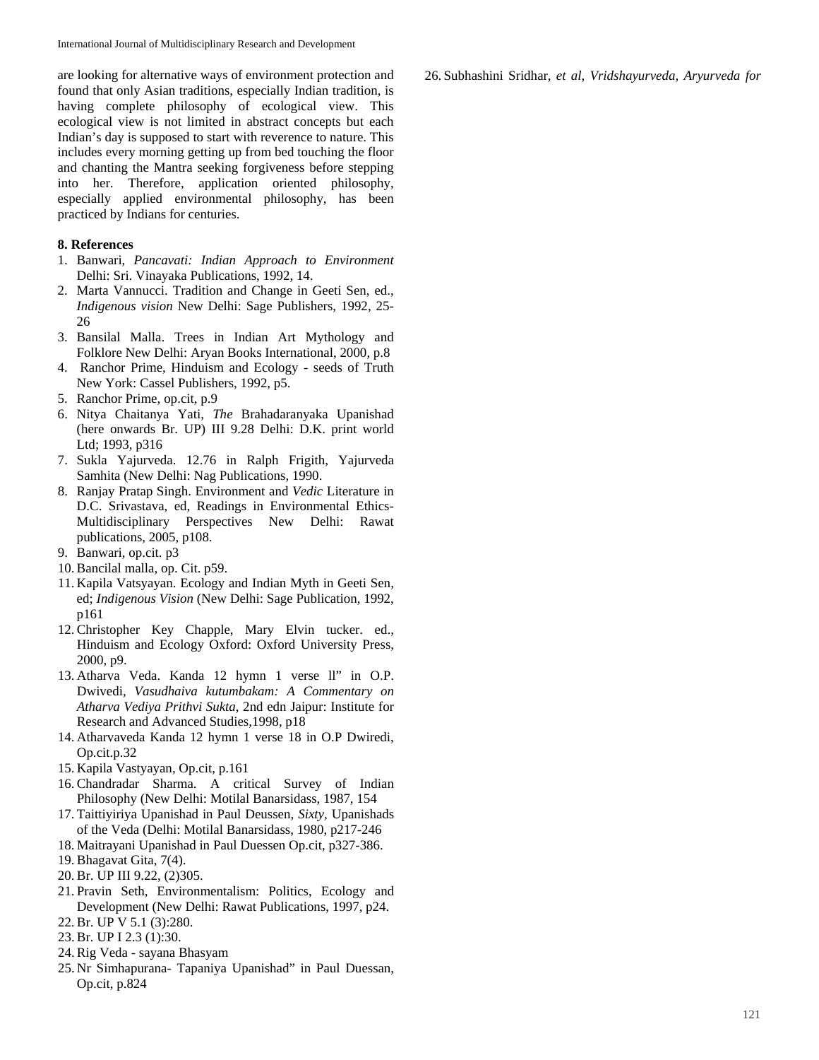are looking for alternative ways of environment protection and found that only Asian traditions, especially Indian tradition, is having complete philosophy of ecological view. This ecological view is not limited in abstract concepts but each Indian's day is supposed to start with reverence to nature. This includes every morning getting up from bed touching the floor and chanting the Mantra seeking forgiveness before stepping into her. Therefore, application oriented philosophy, especially applied environmental philosophy, has been practiced by Indians for centuries.

## **8. References**

- 1. Banwari, *Pancavati: Indian Approach to Environment* Delhi: Sri. Vinayaka Publications, 1992, 14.
- 2. Marta Vannucci. Tradition and Change in Geeti Sen, ed., *Indigenous vision* New Delhi: Sage Publishers, 1992, 25- 26
- 3. Bansilal Malla. Trees in Indian Art Mythology and Folklore New Delhi: Aryan Books International, 2000, p.8
- 4. Ranchor Prime, Hinduism and Ecology seeds of Truth New York: Cassel Publishers, 1992, p5.
- 5. Ranchor Prime, op.cit, p.9
- 6. Nitya Chaitanya Yati, *The* Brahadaranyaka Upanishad (here onwards Br. UP) III 9.28 Delhi: D.K. print world Ltd; 1993, p316
- 7. Sukla Yajurveda. 12.76 in Ralph Frigith, Yajurveda Samhita (New Delhi: Nag Publications, 1990.
- 8. Ranjay Pratap Singh. Environment and *Vedic* Literature in D.C. Srivastava, ed, Readings in Environmental Ethics-Multidisciplinary Perspectives New Delhi: Rawat publications, 2005, p108.
- 9. Banwari, op.cit. p3
- 10. Bancilal malla, op. Cit. p59.
- 11. Kapila Vatsyayan. Ecology and Indian Myth in Geeti Sen, ed; *Indigenous Vision* (New Delhi: Sage Publication, 1992, p161
- 12. Christopher Key Chapple, Mary Elvin tucker. ed., Hinduism and Ecology Oxford: Oxford University Press, 2000, p9.
- 13. Atharva Veda. Kanda 12 hymn 1 verse ll" in O.P. Dwivedi, *Vasudhaiva kutumbakam: A Commentary on Atharva Vediya Prithvi Sukta*, 2nd edn Jaipur: Institute for Research and Advanced Studies,1998, p18
- 14. Atharvaveda Kanda 12 hymn 1 verse 18 in O.P Dwiredi, Op.cit.p.32
- 15. Kapila Vastyayan, Op.cit, p.161
- 16. Chandradar Sharma. A critical Survey of Indian Philosophy (New Delhi: Motilal Banarsidass, 1987, 154
- 17. Taittiyiriya Upanishad in Paul Deussen, *Sixty,* Upanishads of the Veda (Delhi: Motilal Banarsidass, 1980, p217-246
- 18. Maitrayani Upanishad in Paul Duessen Op.cit, p327-386.
- 19. Bhagavat Gita, 7(4).
- 20. Br. UP III 9.22, (2)305.
- 21. Pravin Seth, Environmentalism: Politics, Ecology and Development (New Delhi: Rawat Publications, 1997, p24.
- 22. Br. UP V 5.1 (3):280.
- 23. Br. UP I 2.3 (1):30.
- 24. Rig Veda sayana Bhasyam
- 25. Nr Simhapurana- Tapaniya Upanishad" in Paul Duessan, Op.cit, p.824

26. Subhashini Sridhar, *et al*, *Vridshayurveda, Aryurveda for*